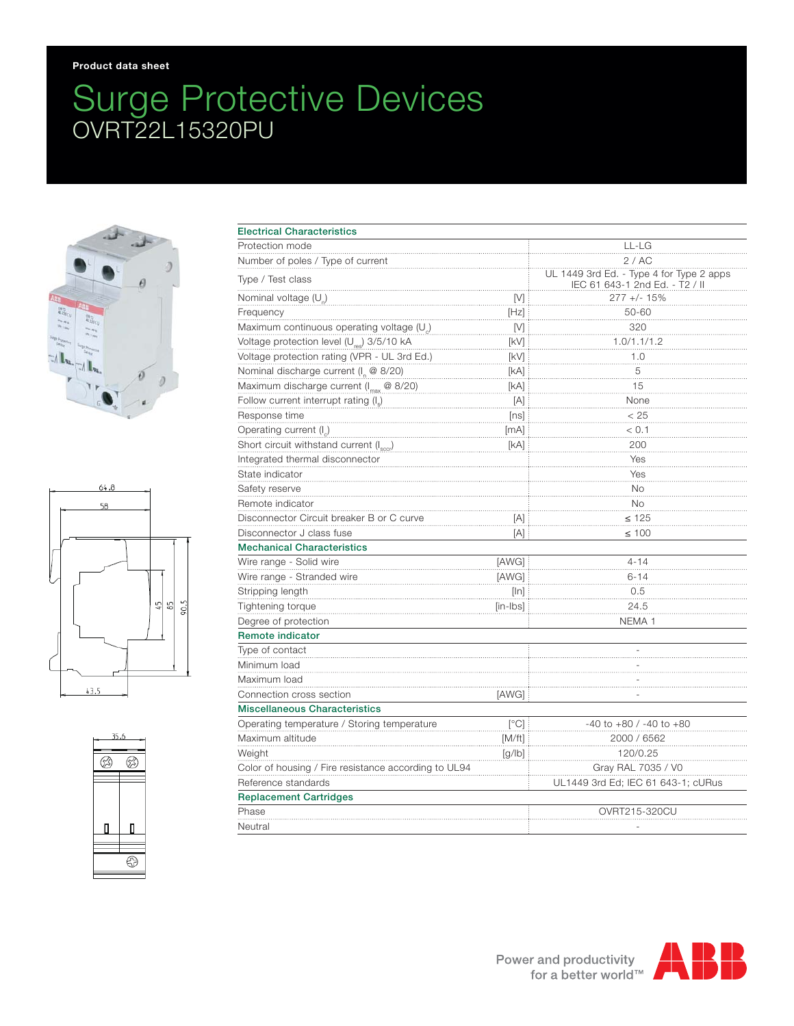## Surge Protective Devices OVRT22L15320PU







| <b>Electrical Characteristics</b>                      |                                                                                                                                                                                                                                                                      |                                                                            |
|--------------------------------------------------------|----------------------------------------------------------------------------------------------------------------------------------------------------------------------------------------------------------------------------------------------------------------------|----------------------------------------------------------------------------|
| Protection mode                                        |                                                                                                                                                                                                                                                                      | LL-LG                                                                      |
| Number of poles / Type of current                      |                                                                                                                                                                                                                                                                      | 2/AC                                                                       |
| Type / Test class                                      |                                                                                                                                                                                                                                                                      | UL 1449 3rd Ed. - Type 4 for Type 2 apps<br>IEC 61 643-1 2nd Ed. - T2 / II |
| Nominal voltage (U)                                    | [V]                                                                                                                                                                                                                                                                  | $277 +/- 15%$                                                              |
| Frequency                                              | $[Hz] \centering% \includegraphics[width=1.0\textwidth]{Figures/PN1.png} \caption{The 3D (blue) and 4D (blue) are shown in the left panel. The left panel shows the number of red (red) and the number of red (red) are shown in the right panel.} \label{fig:TPN1}$ | 50-60                                                                      |
| Maximum continuous operating voltage (U <sub>c</sub> ) | [V]                                                                                                                                                                                                                                                                  | 320                                                                        |
| Voltage protection level (U <sub>res</sub> ) 3/5/10 kA | [kV]                                                                                                                                                                                                                                                                 | 1.0/1.1/1.2                                                                |
| Voltage protection rating (VPR - UL 3rd Ed.)           | [kV]                                                                                                                                                                                                                                                                 | 1.0                                                                        |
| Nominal discharge current (I <sub>n</sub> @ 8/20)      | [kA]                                                                                                                                                                                                                                                                 | 5                                                                          |
| Maximum discharge current (Imax @ 8/20)                | [KA]                                                                                                                                                                                                                                                                 | 15                                                                         |
| Follow current interrupt rating $(I_n)$                | $[{\mathsf A}]$                                                                                                                                                                                                                                                      | None                                                                       |
| Response time                                          | [ns]                                                                                                                                                                                                                                                                 | < 25                                                                       |
| Operating current (I)                                  | [mA]                                                                                                                                                                                                                                                                 | < 0.1                                                                      |
| Short circuit withstand current (Isocr)                | [kA]                                                                                                                                                                                                                                                                 | 200                                                                        |
| Integrated thermal disconnector                        |                                                                                                                                                                                                                                                                      | Yes                                                                        |
| State indicator                                        |                                                                                                                                                                                                                                                                      | Yes                                                                        |
| Safety reserve                                         |                                                                                                                                                                                                                                                                      | <b>No</b>                                                                  |
| Remote indicator                                       |                                                                                                                                                                                                                                                                      | <b>No</b>                                                                  |
| Disconnector Circuit breaker B or C curve              | [A]                                                                                                                                                                                                                                                                  | $\leq 125$                                                                 |
| Disconnector J class fuse                              | [A]                                                                                                                                                                                                                                                                  | $\leq 100$                                                                 |
| <b>Mechanical Characteristics</b>                      |                                                                                                                                                                                                                                                                      |                                                                            |
| Wire range - Solid wire                                | [AWG]                                                                                                                                                                                                                                                                | $4 - 14$                                                                   |
| Wire range - Stranded wire                             | [AWG]                                                                                                                                                                                                                                                                | $6 - 14$                                                                   |
| Stripping length                                       | [ln]                                                                                                                                                                                                                                                                 | 0.5                                                                        |
| Tightening torque                                      | [in-lbs]                                                                                                                                                                                                                                                             | 24.5                                                                       |
| Degree of protection                                   |                                                                                                                                                                                                                                                                      | NEMA <sub>1</sub>                                                          |
| Remote indicator                                       |                                                                                                                                                                                                                                                                      |                                                                            |
| Type of contact                                        |                                                                                                                                                                                                                                                                      |                                                                            |
| Minimum load                                           |                                                                                                                                                                                                                                                                      |                                                                            |
| Maximum load                                           |                                                                                                                                                                                                                                                                      |                                                                            |
| Connection cross section                               | [AWG]                                                                                                                                                                                                                                                                |                                                                            |
| <b>Miscellaneous Characteristics</b>                   |                                                                                                                                                                                                                                                                      |                                                                            |
| Operating temperature / Storing temperature            | $\lceil{^{\circ}C}\rceil$                                                                                                                                                                                                                                            | $-40$ to $+80$ / $-40$ to $+80$                                            |
| Maximum altitude                                       | [M/ft]                                                                                                                                                                                                                                                               | 2000 / 6562                                                                |
| Weight                                                 | [g/ b]                                                                                                                                                                                                                                                               | 120/0.25                                                                   |
| Color of housing / Fire resistance according to UL94   |                                                                                                                                                                                                                                                                      | Gray RAL 7035 / V0                                                         |
| Reference standards                                    |                                                                                                                                                                                                                                                                      | UL1449 3rd Ed; IEC 61 643-1; cURus                                         |
| <b>Replacement Cartridges</b>                          |                                                                                                                                                                                                                                                                      |                                                                            |
| Phase                                                  |                                                                                                                                                                                                                                                                      | OVRT215-320CU                                                              |
|                                                        |                                                                                                                                                                                                                                                                      |                                                                            |

Neutral -